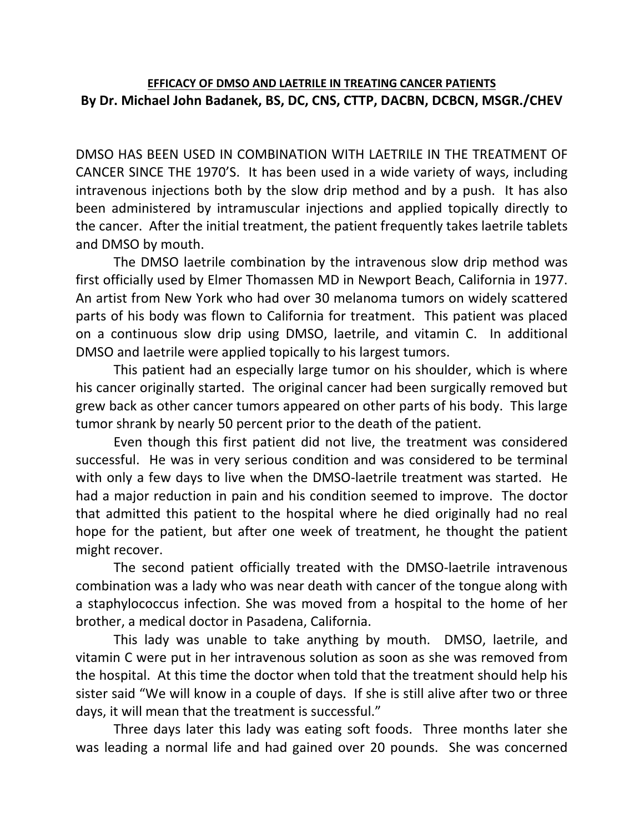## **EFFICACY OF DMSO AND LAETRILE IN TREATING CANCER PATIENTS By Dr. Michael John Badanek, BS, DC, CNS, CTTP, DACBN, DCBCN, MSGR./CHEV**

DMSO HAS BEEN USED IN COMBINATION WITH LAETRILE IN THE TREATMENT OF CANCER SINCE THE 1970'S. It has been used in a wide variety of ways, including intravenous injections both by the slow drip method and by a push. It has also been administered by intramuscular injections and applied topically directly to the cancer. After the initial treatment, the patient frequently takes laetrile tablets and DMSO by mouth.

The DMSO laetrile combination by the intravenous slow drip method was first officially used by Elmer Thomassen MD in Newport Beach, California in 1977. An artist from New York who had over 30 melanoma tumors on widely scattered parts of his body was flown to California for treatment. This patient was placed on a continuous slow drip using DMSO, laetrile, and vitamin C. In additional DMSO and laetrile were applied topically to his largest tumors.

This patient had an especially large tumor on his shoulder, which is where his cancer originally started. The original cancer had been surgically removed but grew back as other cancer tumors appeared on other parts of his body. This large tumor shrank by nearly 50 percent prior to the death of the patient.

Even though this first patient did not live, the treatment was considered successful. He was in very serious condition and was considered to be terminal with only a few days to live when the DMSO-laetrile treatment was started. He had a major reduction in pain and his condition seemed to improve. The doctor that admitted this patient to the hospital where he died originally had no real hope for the patient, but after one week of treatment, he thought the patient might recover.

The second patient officially treated with the DMSO-laetrile intravenous combination was a lady who was near death with cancer of the tongue along with a staphylococcus infection. She was moved from a hospital to the home of her brother, a medical doctor in Pasadena, California.

This lady was unable to take anything by mouth. DMSO, laetrile, and vitamin C were put in her intravenous solution as soon as she was removed from the hospital. At this time the doctor when told that the treatment should help his sister said "We will know in a couple of days. If she is still alive after two or three days, it will mean that the treatment is successful."

Three days later this lady was eating soft foods. Three months later she was leading a normal life and had gained over 20 pounds. She was concerned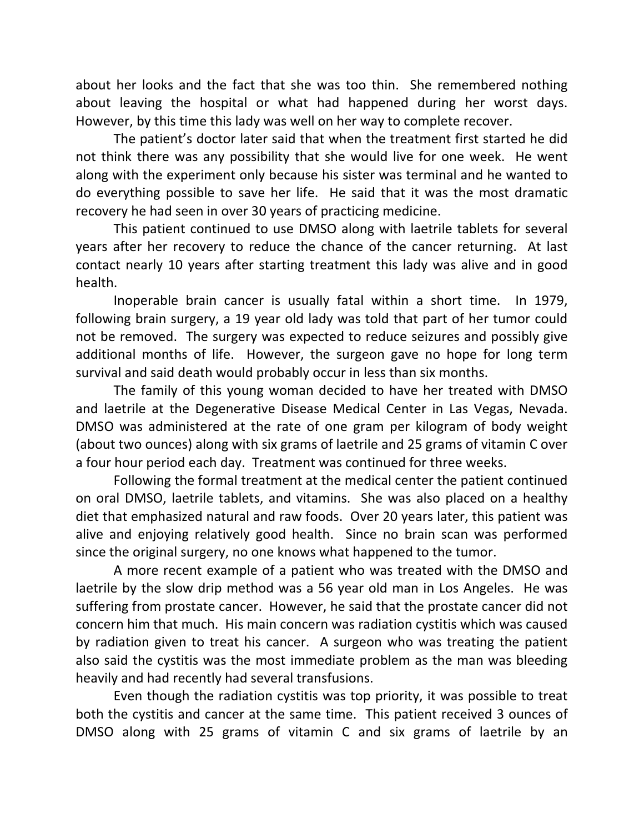about her looks and the fact that she was too thin. She remembered nothing about leaving the hospital or what had happened during her worst days. However, by this time this lady was well on her way to complete recover.

The patient's doctor later said that when the treatment first started he did not think there was any possibility that she would live for one week. He went along with the experiment only because his sister was terminal and he wanted to do everything possible to save her life. He said that it was the most dramatic recovery he had seen in over 30 years of practicing medicine.

This patient continued to use DMSO along with laetrile tablets for several years after her recovery to reduce the chance of the cancer returning. At last contact nearly 10 years after starting treatment this lady was alive and in good health.

Inoperable brain cancer is usually fatal within a short time. In 1979, following brain surgery, a 19 year old lady was told that part of her tumor could not be removed. The surgery was expected to reduce seizures and possibly give additional months of life. However, the surgeon gave no hope for long term survival and said death would probably occur in less than six months.

The family of this young woman decided to have her treated with DMSO and laetrile at the Degenerative Disease Medical Center in Las Vegas, Nevada. DMSO was administered at the rate of one gram per kilogram of body weight (about two ounces) along with six grams of laetrile and 25 grams of vitamin C over a four hour period each day. Treatment was continued for three weeks.

Following the formal treatment at the medical center the patient continued on oral DMSO, laetrile tablets, and vitamins. She was also placed on a healthy diet that emphasized natural and raw foods. Over 20 years later, this patient was alive and enjoying relatively good health. Since no brain scan was performed since the original surgery, no one knows what happened to the tumor.

A more recent example of a patient who was treated with the DMSO and laetrile by the slow drip method was a 56 year old man in Los Angeles. He was suffering from prostate cancer. However, he said that the prostate cancer did not concern him that much. His main concern was radiation cystitis which was caused by radiation given to treat his cancer. A surgeon who was treating the patient also said the cystitis was the most immediate problem as the man was bleeding heavily and had recently had several transfusions.

Even though the radiation cystitis was top priority, it was possible to treat both the cystitis and cancer at the same time. This patient received 3 ounces of DMSO along with 25 grams of vitamin C and six grams of laetrile by an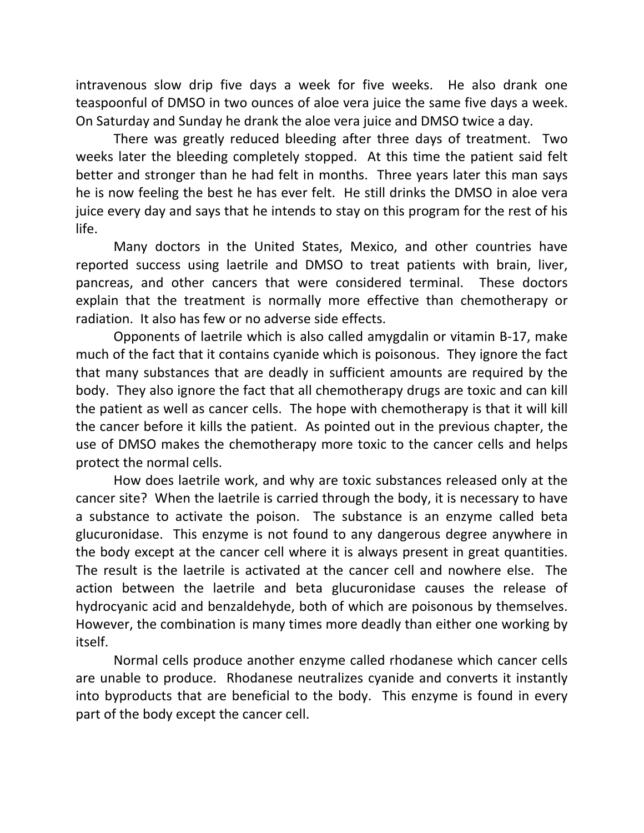intravenous slow drip five days a week for five weeks. He also drank one teaspoonful of DMSO in two ounces of aloe vera juice the same five days a week. On Saturday and Sunday he drank the aloe vera juice and DMSO twice a day.

There was greatly reduced bleeding after three days of treatment. Two weeks later the bleeding completely stopped. At this time the patient said felt better and stronger than he had felt in months. Three years later this man says he is now feeling the best he has ever felt. He still drinks the DMSO in aloe vera juice every day and says that he intends to stay on this program for the rest of his life.

Many doctors in the United States, Mexico, and other countries have reported success using laetrile and DMSO to treat patients with brain, liver, pancreas, and other cancers that were considered terminal. These doctors explain that the treatment is normally more effective than chemotherapy or radiation. It also has few or no adverse side effects.

Opponents of laetrile which is also called amygdalin or vitamin B-17, make much of the fact that it contains cyanide which is poisonous. They ignore the fact that many substances that are deadly in sufficient amounts are required by the body. They also ignore the fact that all chemotherapy drugs are toxic and can kill the patient as well as cancer cells. The hope with chemotherapy is that it will kill the cancer before it kills the patient. As pointed out in the previous chapter, the use of DMSO makes the chemotherapy more toxic to the cancer cells and helps protect the normal cells.

How does laetrile work, and why are toxic substances released only at the cancer site? When the laetrile is carried through the body, it is necessary to have a substance to activate the poison. The substance is an enzyme called beta glucuronidase. This enzyme is not found to any dangerous degree anywhere in the body except at the cancer cell where it is always present in great quantities. The result is the laetrile is activated at the cancer cell and nowhere else. The action between the laetrile and beta glucuronidase causes the release of hydrocyanic acid and benzaldehyde, both of which are poisonous by themselves. However, the combination is many times more deadly than either one working by itself.

Normal cells produce another enzyme called rhodanese which cancer cells are unable to produce. Rhodanese neutralizes cyanide and converts it instantly into byproducts that are beneficial to the body. This enzyme is found in every part of the body except the cancer cell.